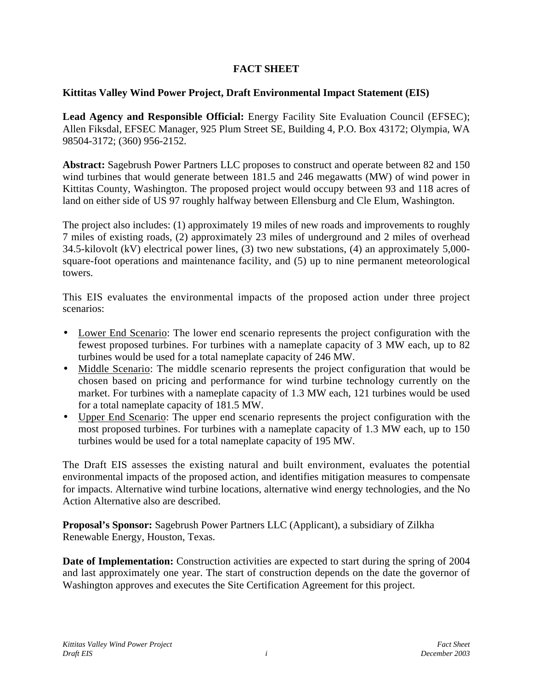## **FACT SHEET**

## **Kittitas Valley Wind Power Project, Draft Environmental Impact Statement (EIS)**

Lead Agency and Responsible Official: Energy Facility Site Evaluation Council (EFSEC); Allen Fiksdal, EFSEC Manager, 925 Plum Street SE, Building 4, P.O. Box 43172; Olympia, WA 98504-3172; (360) 956-2152.

**Abstract:** Sagebrush Power Partners LLC proposes to construct and operate between 82 and 150 wind turbines that would generate between 181.5 and 246 megawatts (MW) of wind power in Kittitas County, Washington. The proposed project would occupy between 93 and 118 acres of land on either side of US 97 roughly halfway between Ellensburg and Cle Elum, Washington.

The project also includes: (1) approximately 19 miles of new roads and improvements to roughly 7 miles of existing roads, (2) approximately 23 miles of underground and 2 miles of overhead 34.5-kilovolt (kV) electrical power lines, (3) two new substations, (4) an approximately 5,000 square-foot operations and maintenance facility, and (5) up to nine permanent meteorological towers.

This EIS evaluates the environmental impacts of the proposed action under three project scenarios:

- Lower End Scenario: The lower end scenario represents the project configuration with the fewest proposed turbines. For turbines with a nameplate capacity of 3 MW each, up to 82 turbines would be used for a total nameplate capacity of 246 MW.
- Middle Scenario: The middle scenario represents the project configuration that would be chosen based on pricing and performance for wind turbine technology currently on the market. For turbines with a nameplate capacity of 1.3 MW each, 121 turbines would be used for a total nameplate capacity of 181.5 MW.
- Upper End Scenario: The upper end scenario represents the project configuration with the most proposed turbines. For turbines with a nameplate capacity of 1.3 MW each, up to 150 turbines would be used for a total nameplate capacity of 195 MW.

The Draft EIS assesses the existing natural and built environment, evaluates the potential environmental impacts of the proposed action, and identifies mitigation measures to compensate for impacts. Alternative wind turbine locations, alternative wind energy technologies, and the No Action Alternative also are described.

**Proposal's Sponsor:** Sagebrush Power Partners LLC (Applicant), a subsidiary of Zilkha Renewable Energy, Houston, Texas.

**Date of Implementation:** Construction activities are expected to start during the spring of 2004 and last approximately one year. The start of construction depends on the date the governor of Washington approves and executes the Site Certification Agreement for this project.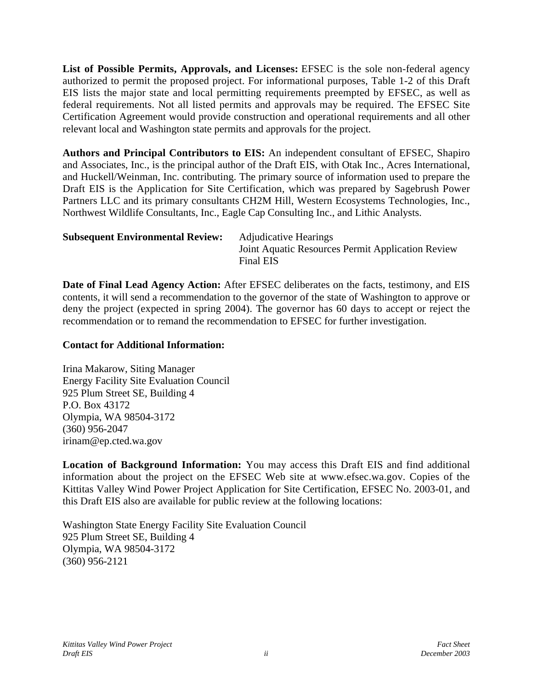**List of Possible Permits, Approvals, and Licenses:** EFSEC is the sole non-federal agency authorized to permit the proposed project. For informational purposes, Table 1-2 of this Draft EIS lists the major state and local permitting requirements preempted by EFSEC, as well as federal requirements. Not all listed permits and approvals may be required. The EFSEC Site Certification Agreement would provide construction and operational requirements and all other relevant local and Washington state permits and approvals for the project.

**Authors and Principal Contributors to EIS:** An independent consultant of EFSEC, Shapiro and Associates, Inc., is the principal author of the Draft EIS, with Otak Inc., Acres International, and Huckell/Weinman, Inc. contributing. The primary source of information used to prepare the Draft EIS is the Application for Site Certification, which was prepared by Sagebrush Power Partners LLC and its primary consultants CH2M Hill, Western Ecosystems Technologies, Inc., Northwest Wildlife Consultants, Inc., Eagle Cap Consulting Inc., and Lithic Analysts.

| <b>Subsequent Environmental Review:</b> | <b>Adjudicative Hearings</b>                                   |
|-----------------------------------------|----------------------------------------------------------------|
|                                         | Joint Aquatic Resources Permit Application Review<br>Final EIS |
|                                         |                                                                |

**Date of Final Lead Agency Action:** After EFSEC deliberates on the facts, testimony, and EIS contents, it will send a recommendation to the governor of the state of Washington to approve or deny the project (expected in spring 2004). The governor has 60 days to accept or reject the recommendation or to remand the recommendation to EFSEC for further investigation.

## **Contact for Additional Information:**

Irina Makarow, Siting Manager Energy Facility Site Evaluation Council 925 Plum Street SE, Building 4 P.O. Box 43172 Olympia, WA 98504-3172 (360) 956-2047 irinam@ep.cted.wa.gov

**Location of Background Information:** You may access this Draft EIS and find additional information about the project on the EFSEC Web site at www.efsec.wa.gov. Copies of the Kittitas Valley Wind Power Project Application for Site Certification, EFSEC No. 2003-01, and this Draft EIS also are available for public review at the following locations:

Washington State Energy Facility Site Evaluation Council 925 Plum Street SE, Building 4 Olympia, WA 98504-3172 (360) 956-2121